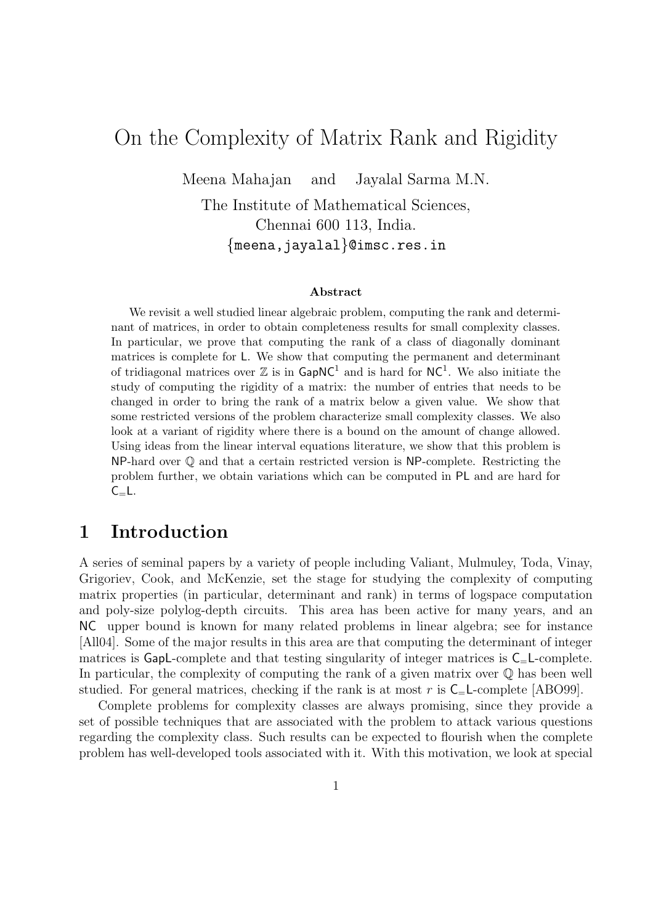# On the Complexity of Matrix Rank and Rigidity

Meena Mahajan and Jayalal Sarma M.N.

The Institute of Mathematical Sciences, Chennai 600 113, India. {meena,jayalal}@imsc.res.in

#### Abstract

We revisit a well studied linear algebraic problem, computing the rank and determinant of matrices, in order to obtain completeness results for small complexity classes. In particular, we prove that computing the rank of a class of diagonally dominant matrices is complete for L. We show that computing the permanent and determinant of tridiagonal matrices over  $\mathbb Z$  is in  $\textsf{GapNC}^1$  and is hard for  $\textsf{NC}^1$ . We also initiate the study of computing the rigidity of a matrix: the number of entries that needs to be changed in order to bring the rank of a matrix below a given value. We show that some restricted versions of the problem characterize small complexity classes. We also look at a variant of rigidity where there is a bound on the amount of change allowed. Using ideas from the linear interval equations literature, we show that this problem is  $NP$ -hard over  $\mathbb Q$  and that a certain restricted version is  $NP$ -complete. Restricting the problem further, we obtain variations which can be computed in PL and are hard for  $C_{=}L$ .

#### 1 Introduction

A series of seminal papers by a variety of people including Valiant, Mulmuley, Toda, Vinay, Grigoriev, Cook, and McKenzie, set the stage for studying the complexity of computing matrix properties (in particular, determinant and rank) in terms of logspace computation and poly-size polylog-depth circuits. This area has been active for many years, and an NC upper bound is known for many related problems in linear algebra; see for instance [All04]. Some of the major results in this area are that computing the determinant of integer matrices is GapL-complete and that testing singularity of integer matrices is  $C_$ =L-complete. In particular, the complexity of computing the rank of a given matrix over  $\mathbb Q$  has been well studied. For general matrices, checking if the rank is at most r is  $C_{=}\mathsf{L}\text{-complete}$  [ABO99].

Complete problems for complexity classes are always promising, since they provide a set of possible techniques that are associated with the problem to attack various questions regarding the complexity class. Such results can be expected to flourish when the complete problem has well-developed tools associated with it. With this motivation, we look at special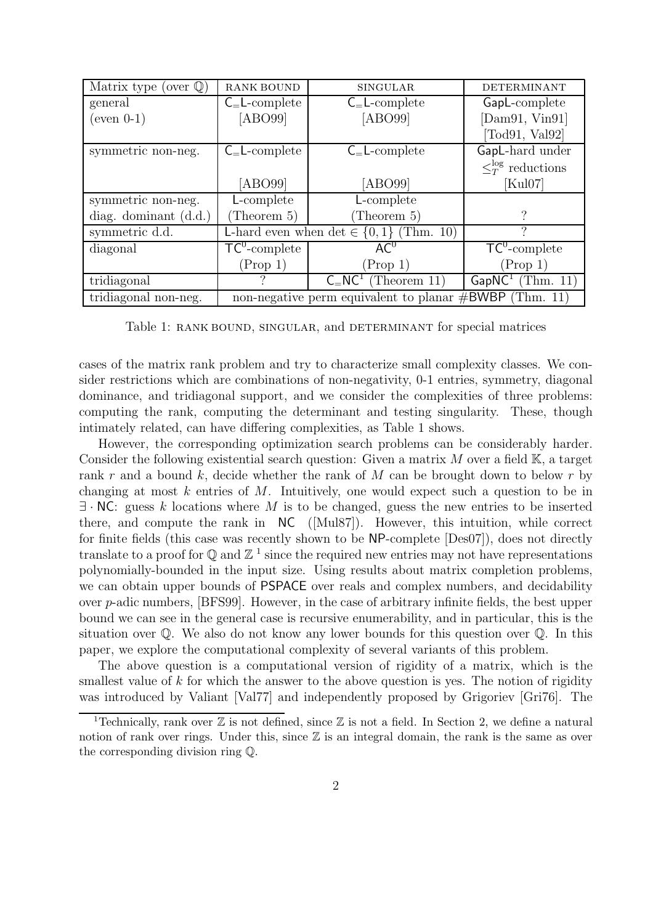| Matrix type (over $\mathbb{Q}$ ) | <b>RANK BOUND</b>                             | <b>SINGULAR</b>               | <b>DETERMINANT</b>         |
|----------------------------------|-----------------------------------------------|-------------------------------|----------------------------|
| general                          | $C_{=}$ L-complete                            | $C_{=}$ L-complete            | GapL-complete              |
| $(even 0-1)$                     | [ABO99]                                       | [ABO99]                       | [Dam91, Vin91]             |
|                                  |                                               |                               | [Todd1, Val92]             |
| symmetric non-neg.               | $C_{=}$ L-complete                            | $C=L$ -complete               | GapL-hard under            |
|                                  |                                               |                               | $\leq_T^{\log}$ reductions |
|                                  | [ABO99]                                       | [ABO99]                       | [Kul07]                    |
| symmetric non-neg.               | L-complete                                    | L-complete                    |                            |
| diag. dominant $(d.d.)$          | (Theorem 5)                                   | (Theorem $5$ )                |                            |
| symmetric d.d.                   | L-hard even when det $\in \{0, 1\}$ (Thm. 10) |                               |                            |
| diagonal                         | $\overline{TC}^0$ -complete                   | AC <sup>0</sup>               | $TC^0$ -complete           |
|                                  | (Prop 1)                                      | (Prop 1)                      | (Prop 1)                   |
| tridiagonal                      | 9                                             | $C_{-}NC_{-}$<br>(Theorem 11) | $GapNC^1$<br>(Thm. 11)     |
|                                  |                                               |                               |                            |

Table 1: RANK BOUND, SINGULAR, and DETERMINANT for special matrices

cases of the matrix rank problem and try to characterize small complexity classes. We consider restrictions which are combinations of non-negativity, 0-1 entries, symmetry, diagonal dominance, and tridiagonal support, and we consider the complexities of three problems: computing the rank, computing the determinant and testing singularity. These, though intimately related, can have differing complexities, as Table 1 shows.

However, the corresponding optimization search problems can be considerably harder. Consider the following existential search question: Given a matrix  $M$  over a field  $K$ , a target rank r and a bound k, decide whether the rank of  $M$  can be brought down to below r by changing at most  $k$  entries of  $M$ . Intuitively, one would expect such a question to be in  $\exists \cdot \textsf{NC}$ : guess k locations where M is to be changed, guess the new entries to be inserted there, and compute the rank in NC ([Mul87]). However, this intuition, while correct for finite fields (this case was recently shown to be NP-complete [Des07]), does not directly translate to a proof for  $\mathbb Q$  and  $\mathbb Z$ <sup>1</sup> since the required new entries may not have representations polynomially-bounded in the input size. Using results about matrix completion problems, we can obtain upper bounds of PSPACE over reals and complex numbers, and decidability over p-adic numbers, [BFS99]. However, in the case of arbitrary infinite fields, the best upper bound we can see in the general case is recursive enumerability, and in particular, this is the situation over Q. We also do not know any lower bounds for this question over Q. In this paper, we explore the computational complexity of several variants of this problem.

The above question is a computational version of rigidity of a matrix, which is the smallest value of k for which the answer to the above question is yes. The notion of rigidity was introduced by Valiant [Val77] and independently proposed by Grigoriev [Gri76]. The

<sup>&</sup>lt;sup>1</sup>Technically, rank over  $\mathbb Z$  is not defined, since  $\mathbb Z$  is not a field. In Section 2, we define a natural notion of rank over rings. Under this, since  $\mathbb Z$  is an integral domain, the rank is the same as over the corresponding division ring Q.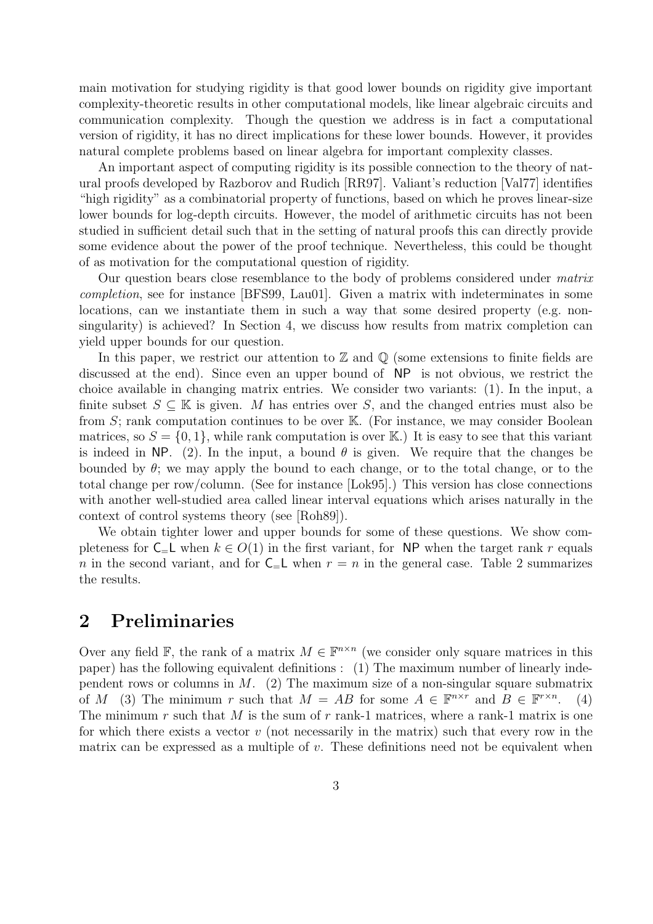main motivation for studying rigidity is that good lower bounds on rigidity give important complexity-theoretic results in other computational models, like linear algebraic circuits and communication complexity. Though the question we address is in fact a computational version of rigidity, it has no direct implications for these lower bounds. However, it provides natural complete problems based on linear algebra for important complexity classes.

An important aspect of computing rigidity is its possible connection to the theory of natural proofs developed by Razborov and Rudich [RR97]. Valiant's reduction [Val77] identifies "high rigidity" as a combinatorial property of functions, based on which he proves linear-size lower bounds for log-depth circuits. However, the model of arithmetic circuits has not been studied in sufficient detail such that in the setting of natural proofs this can directly provide some evidence about the power of the proof technique. Nevertheless, this could be thought of as motivation for the computational question of rigidity.

Our question bears close resemblance to the body of problems considered under matrix completion, see for instance [BFS99, Lau01]. Given a matrix with indeterminates in some locations, can we instantiate them in such a way that some desired property (e.g. nonsingularity) is achieved? In Section 4, we discuss how results from matrix completion can yield upper bounds for our question.

In this paper, we restrict our attention to  $\mathbb Z$  and  $\mathbb Q$  (some extensions to finite fields are discussed at the end). Since even an upper bound of NP is not obvious, we restrict the choice available in changing matrix entries. We consider two variants: (1). In the input, a finite subset  $S \subseteq \mathbb{K}$  is given. M has entries over S, and the changed entries must also be from  $S$ ; rank computation continues to be over  $\mathbb{K}$ . (For instance, we may consider Boolean matrices, so  $S = \{0, 1\}$ , while rank computation is over K.) It is easy to see that this variant is indeed in NP. (2). In the input, a bound  $\theta$  is given. We require that the changes be bounded by  $\theta$ ; we may apply the bound to each change, or to the total change, or to the total change per row/column. (See for instance [Lok95].) This version has close connections with another well-studied area called linear interval equations which arises naturally in the context of control systems theory (see [Roh89]).

We obtain tighter lower and upper bounds for some of these questions. We show completeness for  $C = L$  when  $k \in O(1)$  in the first variant, for NP when the target rank r equals n in the second variant, and for  $C=L$  when  $r = n$  in the general case. Table 2 summarizes the results.

## 2 Preliminaries

Over any field  $\mathbb{F}$ , the rank of a matrix  $M \in \mathbb{F}^{n \times n}$  (we consider only square matrices in this paper) has the following equivalent definitions : (1) The maximum number of linearly independent rows or columns in  $M$ . (2) The maximum size of a non-singular square submatrix of M (3) The minimum r such that  $M = AB$  for some  $A \in \mathbb{F}^{n \times r}$  and  $B \in \mathbb{F}^{r \times n}$ . (4) The minimum  $r$  such that  $M$  is the sum of  $r$  rank-1 matrices, where a rank-1 matrix is one for which there exists a vector  $v$  (not necessarily in the matrix) such that every row in the matrix can be expressed as a multiple of v. These definitions need not be equivalent when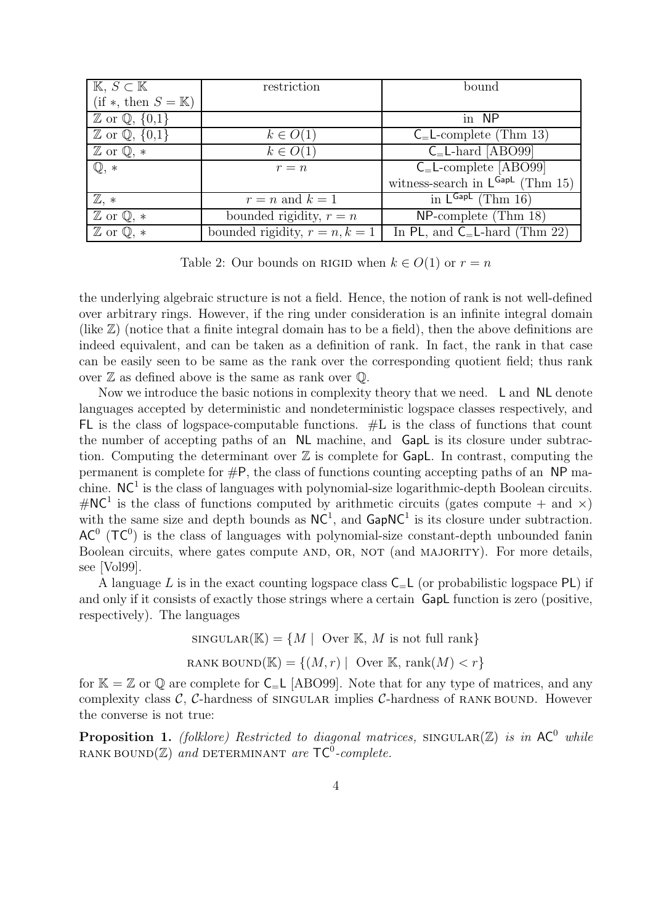| $K, S \subset K$                      | restriction                      | bound                                                       |
|---------------------------------------|----------------------------------|-------------------------------------------------------------|
| $(if *, then S = K)$                  |                                  |                                                             |
| $\mathbb{Z}$ or $\mathbb{Q}, \{0,1\}$ |                                  | in NP                                                       |
| $\mathbb{Z}$ or $\mathbb{Q}, \{0,1\}$ | $k \in O(1)$                     | $C_{\rm{=}L\text{-complete}}$ (Thm 13)                      |
| $\mathbb{Z}$ or $\mathbb{Q}, *$       | $k \in O(1)$                     | $C$ <sub>=</sub> L-hard [ABO99]                             |
| $\mathbb{Q}, *$                       | $r = n$                          | $C_$ _L-complete [ABO99]                                    |
|                                       |                                  | witness-search in $\mathsf{L}^{\mathsf{GapL}}$ (Thm 15)     |
| $\mathbb{Z}, *$                       | $r = n$ and $k = 1$              | $\overline{\text{in } \mathsf{L}^{\mathsf{GapL}}}$ (Thm 16) |
| $\mathbb{Z}$ or $\mathbb{Q}, *$       | bounded rigidity, $r = n$        | $NP$ -complete (Thm 18)                                     |
| $\mathbb{Z}$ or $\mathbb{Q}, *$       | bounded rigidity, $r = n, k = 1$ | In PL, and $C_E$ -hard (Thm 22)                             |

Table 2: Our bounds on RIGID when  $k \in O(1)$  or  $r = n$ 

the underlying algebraic structure is not a field. Hence, the notion of rank is not well-defined over arbitrary rings. However, if the ring under consideration is an infinite integral domain (like Z) (notice that a finite integral domain has to be a field), then the above definitions are indeed equivalent, and can be taken as a definition of rank. In fact, the rank in that case can be easily seen to be same as the rank over the corresponding quotient field; thus rank over  $\mathbb Z$  as defined above is the same as rank over  $\mathbb Q$ .

Now we introduce the basic notions in complexity theory that we need. L and NL denote languages accepted by deterministic and nondeterministic logspace classes respectively, and FL is the class of logspace-computable functions. #L is the class of functions that count the number of accepting paths of an NL machine, and GapL is its closure under subtraction. Computing the determinant over  $\mathbb Z$  is complete for GapL. In contrast, computing the permanent is complete for  $\#P$ , the class of functions counting accepting paths of an NP machine.  $NC<sup>1</sup>$  is the class of languages with polynomial-size logarithmic-depth Boolean circuits.  $\#\text{NC}^1$  is the class of functions computed by arithmetic circuits (gates compute + and  $\times$ ) with the same size and depth bounds as  $NC<sup>1</sup>$ , and  $GapNC<sup>1</sup>$  is its closure under subtraction.  $AC^{0}$  (TC<sup>0</sup>) is the class of languages with polynomial-size constant-depth unbounded fanin Boolean circuits, where gates compute AND, OR, NOT (and MAJORITY). For more details, see [Vol99].

A language L is in the exact counting logspace class  $C<sub>=</sub>L$  (or probabilistic logspace PL) if and only if it consists of exactly those strings where a certain GapL function is zero (positive, respectively). The languages

$$
\text{SINGULAR}(\mathbb{K}) = \{ M \mid \text{Over } \mathbb{K}, M \text{ is not full rank} \}
$$
\n
$$
\text{RANK BOUND}(\mathbb{K}) = \{ (M, r) \mid \text{Over } \mathbb{K}, \text{rank}(M) < r \}
$$

for  $\mathbb{K} = \mathbb{Z}$  or  $\mathbb{Q}$  are complete for  $C = L$  [ABO99]. Note that for any type of matrices, and any complexity class  $\mathcal{C}$ ,  $\mathcal{C}$ -hardness of singular implies  $\mathcal{C}$ -hardness of RANK BOUND. However the converse is not true:

**Proposition 1.** (folklore) Restricted to diagonal matrices, SINGULAR $(Z)$  is in AC<sup>0</sup> while RANK BOUND $(\mathbb{Z})$  and DETERMINANT are  $\mathsf{TC}^0\text{-}complete.$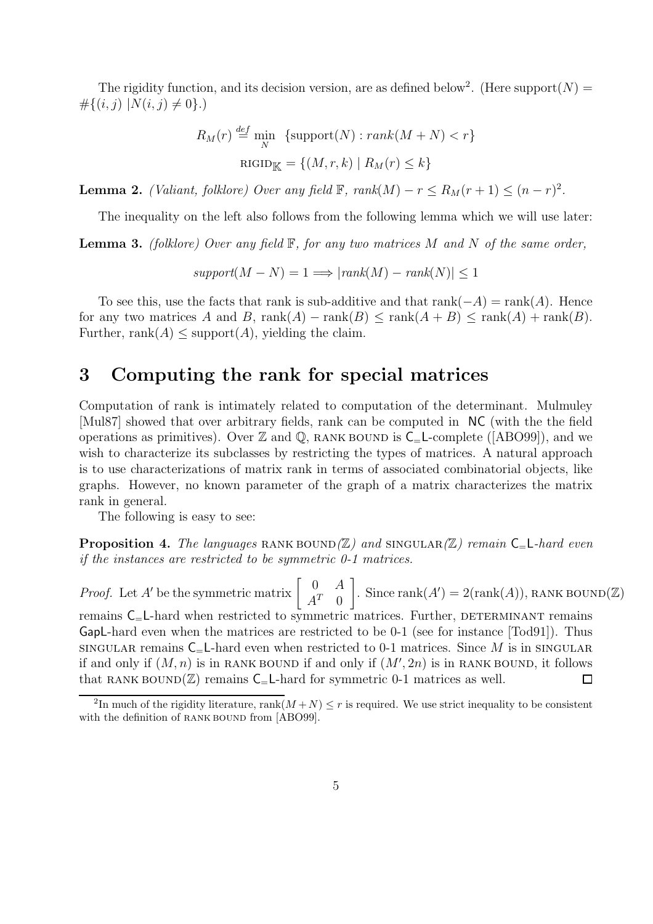The rigidity function, and its decision version, are as defined below<sup>2</sup>. (Here support $(N)$  =  $\#\{(i,j) | N(i,j) \neq 0\}.$ 

$$
R_M(r) \stackrel{\text{def}}{=} \min_N \{ \text{support}(N) : \text{rank}(M + N) < r \}
$$
\n
$$
\text{RIGID}_{\mathbb{K}} = \{ (M, r, k) \mid R_M(r) \le k \}
$$

**Lemma 2.** (Valiant, folklore) Over any field  $\mathbb{F}$ ,  $rank(M) - r \leq R_M(r+1) \leq (n-r)^2$ .

The inequality on the left also follows from the following lemma which we will use later:

**Lemma 3.** (folklore) Over any field  $\mathbb{F}$ , for any two matrices M and N of the same order,

$$
support(M - N) = 1 \Longrightarrow |rank(M) - rank(N)| \le 1
$$

To see this, use the facts that rank is sub-additive and that  $rank(-A) = rank(A)$ . Hence for any two matrices A and B,  $rank(A) - rank(B) \leq rank(A+B) \leq rank(A) + rank(B)$ . Further, rank $(A)$  < support $(A)$ , yielding the claim.

#### 3 Computing the rank for special matrices

Computation of rank is intimately related to computation of the determinant. Mulmuley [Mul87] showed that over arbitrary fields, rank can be computed in NC (with the the field operations as primitives). Over  $\mathbb Z$  and  $\mathbb Q$ , RANK BOUND is  $C_$  L-complete ([ABO99]), and we wish to characterize its subclasses by restricting the types of matrices. A natural approach is to use characterizations of matrix rank in terms of associated combinatorial objects, like graphs. However, no known parameter of the graph of a matrix characterizes the matrix rank in general.

The following is easy to see:

**Proposition 4.** The languages RANK BOUND( $\mathbb{Z}$ ) and SINGULAR( $\mathbb{Z}$ ) remain  $C = L$ -hard even if the instances are restricted to be symmetric 0-1 matrices.

*Proof.* Let A' be the symmetric matrix  $\begin{bmatrix} 0 & A \\ a^T & 0 \end{bmatrix}$  $\bigg]$ . Since rank $(A') = 2(\text{rank}(A)),$  RANK BOUND $(\mathbb{Z})$  $A^T$  0 remains  $C_{=}L$ -hard when restricted to symmetric matrices. Further, DETERMINANT remains GapL-hard even when the matrices are restricted to be 0-1 (see for instance [Tod91]). Thus singular remains  $C_{\rm{d}}$ -hard even when restricted to 0-1 matrices. Since M is in SINGULAR if and only if  $(M, n)$  is in RANK BOUND if and only if  $(M', 2n)$  is in RANK BOUND, it follows that RANK BOUND( $\mathbb{Z}$ ) remains C<sub>=</sub>L-hard for symmetric 0-1 matrices as well. □

<sup>&</sup>lt;sup>2</sup>In much of the rigidity literature, rank $(M+N) \leq r$  is required. We use strict inequality to be consistent with the definition of RANK BOUND from [ABO99].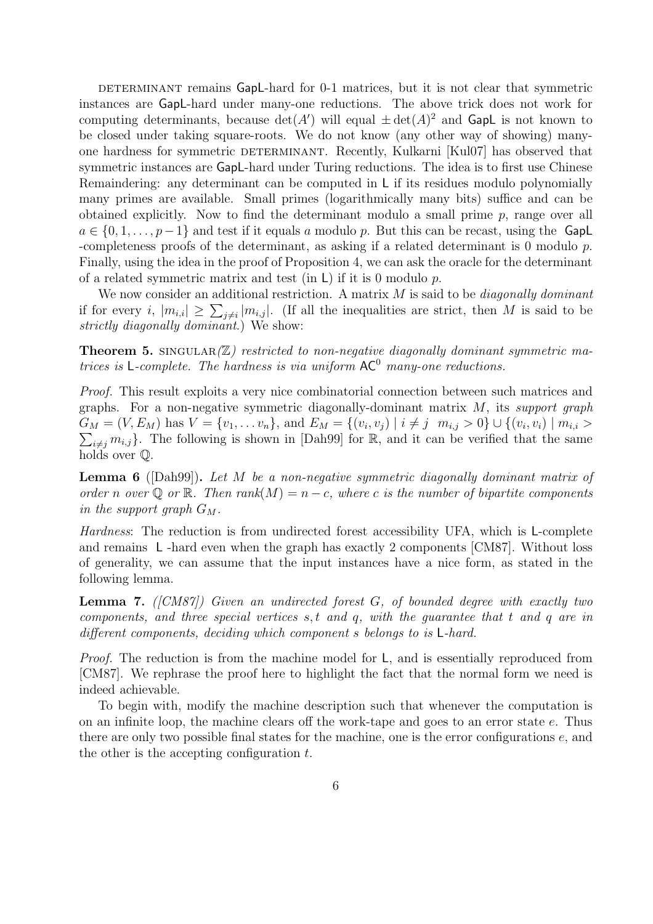DETERMINANT remains GapL-hard for 0-1 matrices, but it is not clear that symmetric instances are GapL-hard under many-one reductions. The above trick does not work for computing determinants, because  $\det(A')$  will equal  $\pm \det(A)^2$  and GapL is not known to be closed under taking square-roots. We do not know (any other way of showing) manyone hardness for symmetric DETERMINANT. Recently, Kulkarni [Kul07] has observed that symmetric instances are GapL-hard under Turing reductions. The idea is to first use Chinese Remaindering: any determinant can be computed in L if its residues modulo polynomially many primes are available. Small primes (logarithmically many bits) suffice and can be obtained explicitly. Now to find the determinant modulo a small prime  $p$ , range over all  $a \in \{0, 1, \ldots, p-1\}$  and test if it equals a modulo p. But this can be recast, using the GapL -completeness proofs of the determinant, as asking if a related determinant is 0 modulo p. Finally, using the idea in the proof of Proposition 4, we can ask the oracle for the determinant of a related symmetric matrix and test (in  $\mathsf{L}$ ) if it is 0 modulo p.

We now consider an additional restriction. A matrix  $M$  is said to be *diagonally dominant* if for every i,  $|m_{i,i}| \geq \sum_{j \neq i} |m_{i,j}|$ . (If all the inequalities are strict, then M is said to be strictly diagonally dominant.) We show:

**Theorem 5.** SINGULAR $(\mathbb{Z})$  restricted to non-negative diagonally dominant symmetric matrices is  $L$ -complete. The hardness is via uniform  $AC^0$  many-one reductions.

Proof. This result exploits a very nice combinatorial connection between such matrices and graphs. For a non-negative symmetric diagonally-dominant matrix  $M$ , its support graph  $G_M = (V, E_M)$  has  $V = \{v_1, \ldots v_n\}$ , and  $E_M = \{(v_i, v_j) \mid i \neq j \mid m_{i,j} > 0\} \cup \{(v_i, v_i) \mid m_{i,i} > 0\}$  $\sum_{i \neq j} m_{i,j}$ . The following is shown in [Dah99] for R, and it can be verified that the same holds over Q.

**Lemma 6** ([Dah99]). Let M be a non-negative symmetric diagonally dominant matrix of order n over  $\mathbb Q$  or  $\mathbb R$ . Then rank $(M) = n - c$ , where c is the number of bipartite components in the support graph  $G_M$ .

Hardness: The reduction is from undirected forest accessibility UFA, which is L-complete and remains L -hard even when the graph has exactly 2 components [CM87]. Without loss of generality, we can assume that the input instances have a nice form, as stated in the following lemma.

**Lemma 7.** ( $[CM87]$ ) Given an undirected forest G, of bounded degree with exactly two components, and three special vertices  $s, t$  and  $q$ , with the guarantee that  $t$  and  $q$  are in different components, deciding which component s belongs to is  $L$ -hard.

Proof. The reduction is from the machine model for L, and is essentially reproduced from [CM87]. We rephrase the proof here to highlight the fact that the normal form we need is indeed achievable.

To begin with, modify the machine description such that whenever the computation is on an infinite loop, the machine clears off the work-tape and goes to an error state e. Thus there are only two possible final states for the machine, one is the error configurations e, and the other is the accepting configuration  $t$ .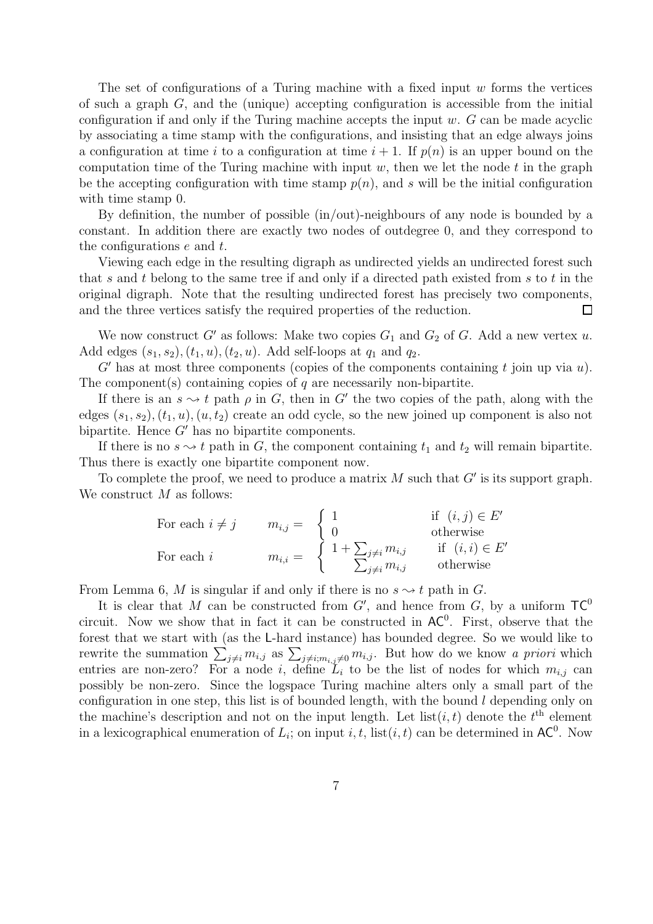The set of configurations of a Turing machine with a fixed input  $w$  forms the vertices of such a graph G, and the (unique) accepting configuration is accessible from the initial configuration if and only if the Turing machine accepts the input  $w$ .  $G$  can be made acyclic by associating a time stamp with the configurations, and insisting that an edge always joins a configuration at time i to a configuration at time  $i + 1$ . If  $p(n)$  is an upper bound on the computation time of the Turing machine with input  $w$ , then we let the node  $t$  in the graph be the accepting configuration with time stamp  $p(n)$ , and s will be the initial configuration with time stamp  $0$ .

By definition, the number of possible (in/out)-neighbours of any node is bounded by a constant. In addition there are exactly two nodes of outdegree 0, and they correspond to the configurations e and t.

Viewing each edge in the resulting digraph as undirected yields an undirected forest such that  $s$  and  $t$  belong to the same tree if and only if a directed path existed from  $s$  to  $t$  in the original digraph. Note that the resulting undirected forest has precisely two components, and the three vertices satisfy the required properties of the reduction. П

We now construct G' as follows: Make two copies  $G_1$  and  $G_2$  of G. Add a new vertex u. Add edges  $(s_1, s_2), (t_1, u), (t_2, u)$ . Add self-loops at  $q_1$  and  $q_2$ .

 $G'$  has at most three components (copies of the components containing t join up via  $u$ ). The component(s) containing copies of  $q$  are necessarily non-bipartite.

If there is an  $s \rightarrow t$  path  $\rho$  in G, then in G' the two copies of the path, along with the edges  $(s_1, s_2), (t_1, u), (u, t_2)$  create an odd cycle, so the new joined up component is also not bipartite. Hence  $G'$  has no bipartite components.

If there is no  $s \rightarrow t$  path in G, the component containing  $t_1$  and  $t_2$  will remain bipartite. Thus there is exactly one bipartite component now.

To complete the proof, we need to produce a matrix  $M$  such that  $G'$  is its support graph. We construct  $M$  as follows:

For each 
$$
i \neq j
$$
  $m_{i,j} = \begin{cases} 1 & \text{if } (i,j) \in E' \\ 0 & \text{otherwise} \end{cases}$   
For each  $i$   $m_{i,i} = \begin{cases} 1 + \sum_{j \neq i} m_{i,j} & \text{if } (i,i) \in E' \\ \sum_{j \neq i} m_{i,j} & \text{otherwise} \end{cases}$ 

From Lemma 6, M is singular if and only if there is no  $s \rightarrow t$  path in G.

It is clear that M can be constructed from  $G'$ , and hence from  $G$ , by a uniform  $TC^0$ circuit. Now we show that in fact it can be constructed in  $AC^0$ . First, observe that the forest that we start with (as the L-hard instance) has bounded degree. So we would like to rewrite the summation  $\sum_{j\neq i} m_{i,j}$  as  $\sum_{j\neq i; m_{i,j}\neq 0} m_{i,j}$ . But how do we know a priori which entries are non-zero? For a node i, define  $L_i$  to be the list of nodes for which  $m_{i,j}$  can possibly be non-zero. Since the logspace Turing machine alters only a small part of the configuration in one step, this list is of bounded length, with the bound  $l$  depending only on the machine's description and not on the input length. Let  $list(i, t)$  denote the  $t<sup>th</sup>$  element in a lexicographical enumeration of  $L_i$ ; on input i, t, list $(i, t)$  can be determined in  $AC^0$ . Now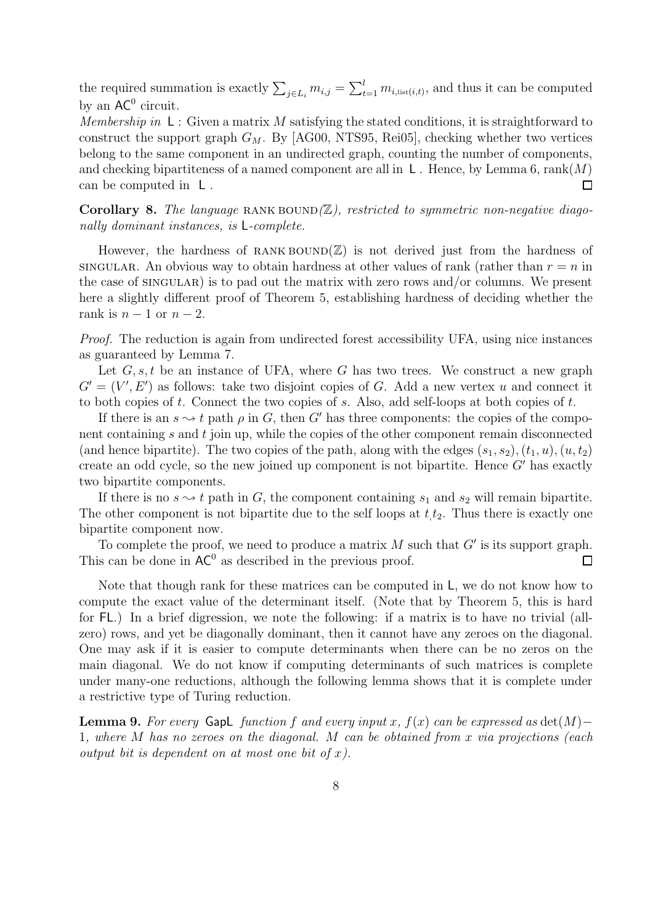the required summation is exactly  $\sum_{j\in L_i} m_{i,j} = \sum_{t=1}^l m_{i,\text{list}(i,t)}$ , and thus it can be computed by an  $AC^0$  circuit.

Membership in  $\mathsf{L}$ : Given a matrix M satisfying the stated conditions, it is straightforward to construct the support graph  $G_M$ . By [AG00, NTS95, Rei05], checking whether two vertices belong to the same component in an undirected graph, counting the number of components, and checking bipartiteness of a named component are all in  $\mathsf{L}$ . Hence, by Lemma 6, rank $(M)$ can be computed in L .  $\Box$ 

Corollary 8. The language RANK BOUND $(\mathbb{Z})$ , restricted to symmetric non-negative diagonally dominant instances, is L-complete.

However, the hardness of RANK BOUND $(\mathbb{Z})$  is not derived just from the hardness of singular. An obvious way to obtain hardness at other values of rank (rather than  $r = n$  in the case of  $SINGULAR$ ) is to pad out the matrix with zero rows and/or columns. We present here a slightly different proof of Theorem 5, establishing hardness of deciding whether the rank is  $n-1$  or  $n-2$ .

Proof. The reduction is again from undirected forest accessibility UFA, using nice instances as guaranteed by Lemma 7.

Let  $G, s, t$  be an instance of UFA, where G has two trees. We construct a new graph  $G' = (V', E')$  as follows: take two disjoint copies of G. Add a new vertex u and connect it to both copies of t. Connect the two copies of s. Also, add self-loops at both copies of t.

If there is an  $s \rightarrow t$  path  $\rho$  in G, then G' has three components: the copies of the component containing s and t join up, while the copies of the other component remain disconnected (and hence bipartite). The two copies of the path, along with the edges  $(s_1, s_2), (t_1, u), (u, t_2)$ create an odd cycle, so the new joined up component is not bipartite. Hence  $G'$  has exactly two bipartite components.

If there is no  $s \rightarrow t$  path in G, the component containing  $s_1$  and  $s_2$  will remain bipartite. The other component is not bipartite due to the self loops at  $t_{i}$ . Thus there is exactly one bipartite component now.

To complete the proof, we need to produce a matrix  $M$  such that  $G'$  is its support graph. This can be done in  $AC^0$  as described in the previous proof.  $\Box$ 

Note that though rank for these matrices can be computed in L, we do not know how to compute the exact value of the determinant itself. (Note that by Theorem 5, this is hard for FL.) In a brief digression, we note the following: if a matrix is to have no trivial (allzero) rows, and yet be diagonally dominant, then it cannot have any zeroes on the diagonal. One may ask if it is easier to compute determinants when there can be no zeros on the main diagonal. We do not know if computing determinants of such matrices is complete under many-one reductions, although the following lemma shows that it is complete under a restrictive type of Turing reduction.

**Lemma 9.** For every GapL function f and every input x,  $f(x)$  can be expressed as  $det(M)$ − 1, where  $M$  has no zeroes on the diagonal.  $M$  can be obtained from  $x$  via projections (each output bit is dependent on at most one bit of  $x$ ).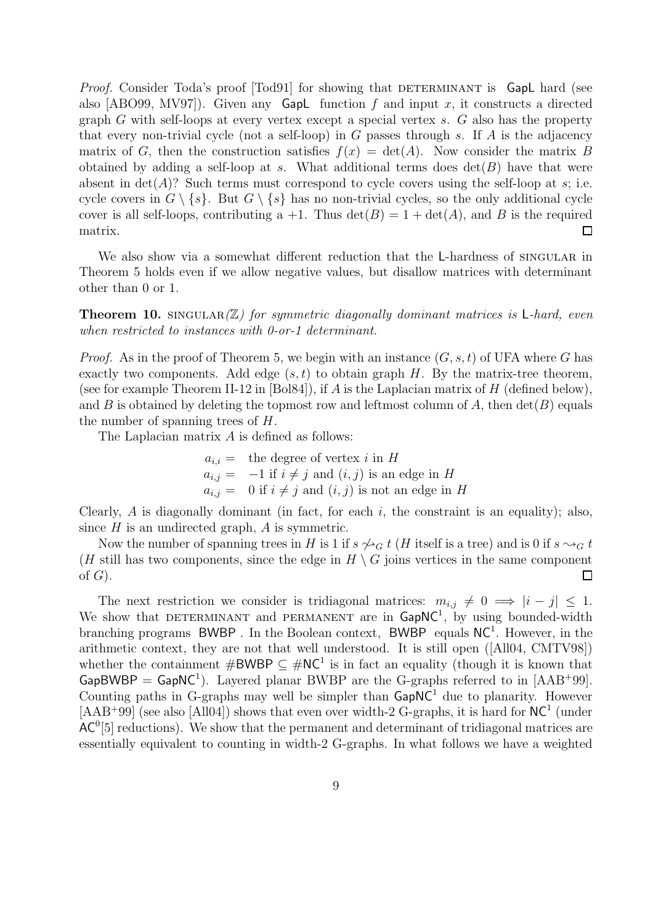*Proof.* Consider Toda's proof [Tod91] for showing that DETERMINANT is GapL hard (see also [ABO99, MV97]). Given any **Gapl** function f and input x, it constructs a directed graph G with self-loops at every vertex except a special vertex s. G also has the property that every non-trivial cycle (not a self-loop) in  $G$  passes through  $s$ . If  $A$  is the adjacency matrix of G, then the construction satisfies  $f(x) = \det(A)$ . Now consider the matrix B obtained by adding a self-loop at s. What additional terms does  $\det(B)$  have that were absent in  $\det(A)$ ? Such terms must correspond to cycle covers using the self-loop at s; i.e. cycle covers in  $G \setminus \{s\}$ . But  $G \setminus \{s\}$  has no non-trivial cycles, so the only additional cycle cover is all self-loops, contributing a  $+1$ . Thus  $\det(B) = 1 + \det(A)$ , and B is the required matrix. □

We also show via a somewhat different reduction that the L-hardness of SINGULAR in Theorem 5 holds even if we allow negative values, but disallow matrices with determinant other than 0 or 1.

**Theorem 10.** SINGULAR $(\mathbb{Z})$  for symmetric diagonally dominant matrices is L-hard, even when restricted to instances with 0-or-1 determinant.

*Proof.* As in the proof of Theorem 5, we begin with an instance  $(G, s, t)$  of UFA where G has exactly two components. Add edge  $(s, t)$  to obtain graph H. By the matrix-tree theorem, (see for example Theorem II-12 in [Bol84]), if A is the Laplacian matrix of H (defined below), and B is obtained by deleting the topmost row and leftmost column of A, then  $\det(B)$  equals the number of spanning trees of H.

The Laplacian matrix A is defined as follows:

 $a_{i,i}$  = the degree of vertex i in H  $a_{i,j} = -1$  if  $i \neq j$  and  $(i, j)$  is an edge in H  $a_{i,j} = 0$  if  $i \neq j$  and  $(i, j)$  is not an edge in H

Clearly, A is diagonally dominant (in fact, for each i, the constraint is an equality); also, since  $H$  is an undirected graph,  $A$  is symmetric.

Now the number of spanning trees in H is 1 if  $s \nightharpoonup_G t$  (H itself is a tree) and is 0 if  $s \sim_G t$ (H still has two components, since the edge in  $H \setminus G$  joins vertices in the same component of  $G$ ).  $\Box$ 

The next restriction we consider is tridiagonal matrices:  $m_{i,j} \neq 0 \implies |i - j| \leq 1$ . We show that DETERMINANT and PERMANENT are in  $\text{GapNC}^1$ , by using bounded-width branching programs BWBP. In the Boolean context, BWBP equals  $NC<sup>1</sup>$ . However, in the arithmetic context, they are not that well understood. It is still open ([All04, CMTV98]) whether the containment  $\#\textsf{BWBP} \subseteq \#\textsf{NC}^1$  is in fact an equality (though it is known that  $GapBWBP = GapNC^1$ ). Layered planar BWBP are the G-graphs referred to in [AAB+99]. Counting paths in G-graphs may well be simpler than  $\textsf{GapNC}^1$  due to planarity. However  $[AAB<sup>+</sup>99]$  (see also [All04]) shows that even over width-2 G-graphs, it is hard for  $NC<sup>1</sup>$  (under  $AC<sup>0</sup>[5]$  reductions). We show that the permanent and determinant of tridiagonal matrices are essentially equivalent to counting in width-2 G-graphs. In what follows we have a weighted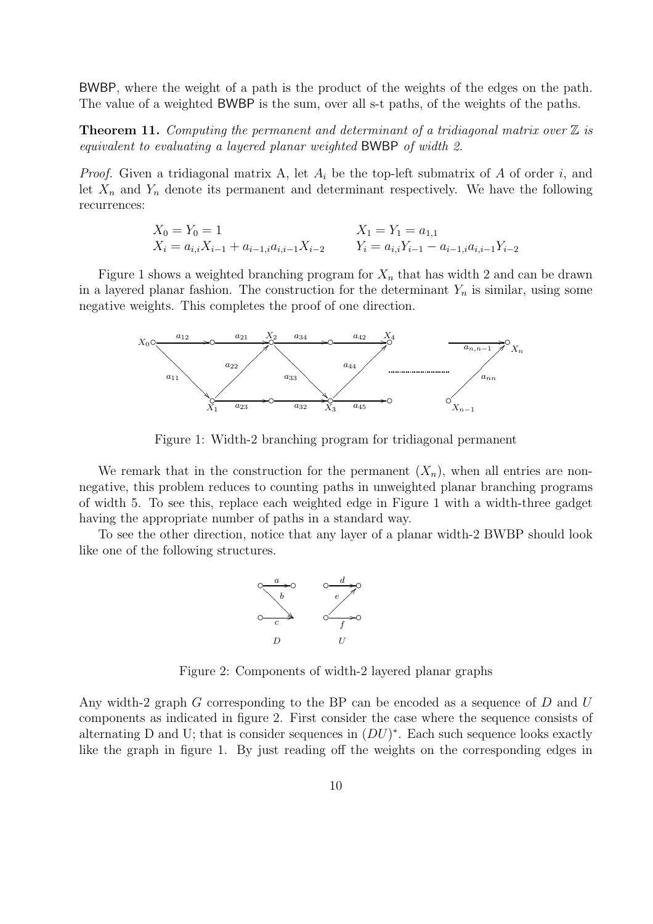BWBP, where the weight of a path is the product of the weights of the edges on the path. The value of a weighted BWBP is the sum, over all s-t paths, of the weights of the paths.

**Theorem 11.** Computing the permanent and determinant of a tridiagonal matrix over  $\mathbb{Z}$  is equivalent to evaluating a layered planar weighted BWBP of width 2.

*Proof.* Given a tridiagonal matrix A, let  $A_i$  be the top-left submatrix of A of order i, and let  $X_n$  and  $Y_n$  denote its permanent and determinant respectively. We have the following recurrences:

$$
X_0 = Y_0 = 1
$$
  
\n
$$
X_1 = Y_1 = a_{1,1}
$$
  
\n
$$
X_1 = Y_1 = a_{1,1}
$$
  
\n
$$
Y_i = a_{i,i}Y_{i-1} - a_{i-1,i}a_{i,i-1}Y_{i-2}
$$

Figure 1 shows a weighted branching program for  $X_n$  that has width 2 and can be drawn in a layered planar fashion. The construction for the determinant  $Y_n$  is similar, using some negative weights. This completes the proof of one direction.



Figure 1: Width-2 branching program for tridiagonal permanent

We remark that in the construction for the permanent  $(X_n)$ , when all entries are nonnegative, this problem reduces to counting paths in unweighted planar branching programs of width 5. To see this, replace each weighted edge in Figure 1 with a width-three gadget having the appropriate number of paths in a standard way.

To see the other direction, notice that any layer of a planar width-2 BWBP should look like one of the following structures.



Figure 2: Components of width-2 layered planar graphs

Any width-2 graph G corresponding to the BP can be encoded as a sequence of D and U components as indicated in figure 2. First consider the case where the sequence consists of alternating D and U; that is consider sequences in  $(DU)^*$ . Each such sequence looks exactly like the graph in figure 1. By just reading off the weights on the corresponding edges in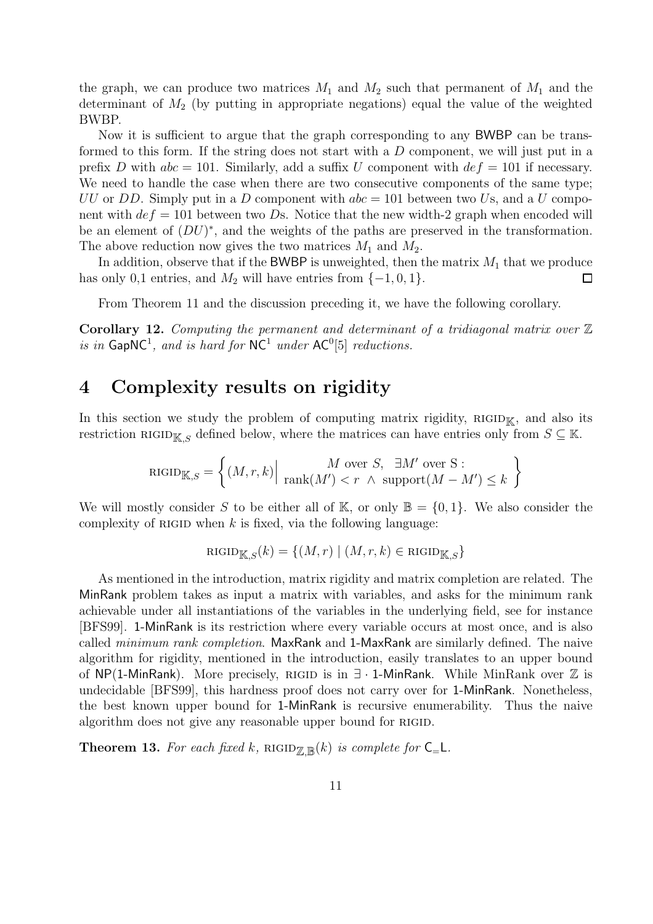the graph, we can produce two matrices  $M_1$  and  $M_2$  such that permanent of  $M_1$  and the determinant of  $M_2$  (by putting in appropriate negations) equal the value of the weighted BWBP.

Now it is sufficient to argue that the graph corresponding to any BWBP can be transformed to this form. If the string does not start with a D component, we will just put in a prefix D with  $abc = 101$ . Similarly, add a suffix U component with  $def = 101$  if necessary. We need to handle the case when there are two consecutive components of the same type; UU or DD. Simply put in a D component with  $abc = 101$  between two Us, and a U component with  $de\,f = 101$  between two Ds. Notice that the new width-2 graph when encoded will be an element of  $(DU)^*$ , and the weights of the paths are preserved in the transformation. The above reduction now gives the two matrices  $M_1$  and  $M_2$ .

In addition, observe that if the BWBP is unweighted, then the matrix  $M_1$  that we produce has only 0,1 entries, and  $M_2$  will have entries from  $\{-1, 0, 1\}$ . □

From Theorem 11 and the discussion preceding it, we have the following corollary.

**Corollary 12.** Computing the permanent and determinant of a tridiagonal matrix over  $\mathbb{Z}$ is in  $\textsf{GapNC}^1$ , and is hard for  $\textsf{NC}^1$  under  $\textsf{AC}^0[5]$  reductions.

### 4 Complexity results on rigidity

In this section we study the problem of computing matrix rigidity,  $RIGID_K$ , and also its restriction RIGID<sub>K,S</sub> defined below, where the matrices can have entries only from  $S \subseteq \mathbb{K}$ .

$$
\text{RIGID}_{\mathbb{K},S} = \left\{ (M,r,k) \Big| \begin{array}{c} M \text{ over } S, \ \exists M' \text{ over } S : \\ \text{rank}(M') < r \ \land \ \text{support}(M - M') \le k \end{array} \right\}
$$

We will mostly consider S to be either all of K, or only  $\mathbb{B} = \{0, 1\}$ . We also consider the complexity of RIGID when  $k$  is fixed, via the following language:

$$
\text{RIGID}_{\mathbb{K},S}(k) = \{ (M,r) \mid (M,r,k) \in \text{RIGID}_{\mathbb{K},S} \}
$$

As mentioned in the introduction, matrix rigidity and matrix completion are related. The MinRank problem takes as input a matrix with variables, and asks for the minimum rank achievable under all instantiations of the variables in the underlying field, see for instance [BFS99]. 1-MinRank is its restriction where every variable occurs at most once, and is also called *minimum rank completion*. MaxRank and 1-MaxRank are similarly defined. The naive algorithm for rigidity, mentioned in the introduction, easily translates to an upper bound of NP(1-MinRank). More precisely, RIGID is in  $∃ · 1$ -MinRank. While MinRank over  $\mathbb Z$  is undecidable [BFS99], this hardness proof does not carry over for 1-MinRank. Nonetheless, the best known upper bound for 1-MinRank is recursive enumerability. Thus the naive algorithm does not give any reasonable upper bound for RIGID.

**Theorem 13.** For each fixed k, RIGID $_{\mathbb{Z},\mathbb{B}}(k)$  is complete for  $C_{=}L$ .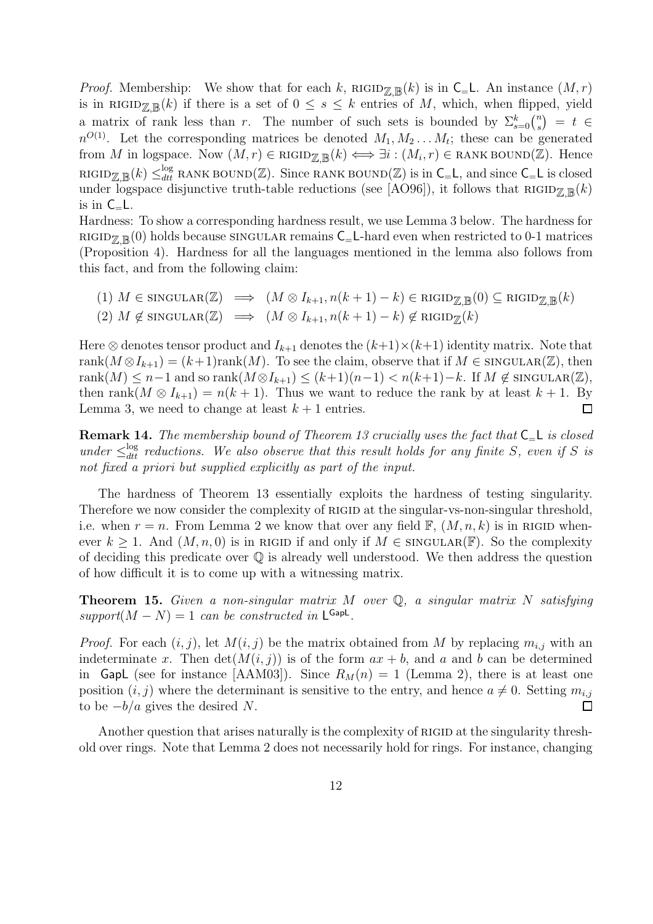*Proof.* Membership: We show that for each k,  $\text{RIGID}_{\mathbb{Z},\mathbb{R}}(k)$  is in  $\mathsf{C}_{=}\mathsf{L}$ . An instance  $(M,r)$ is in RIGID $\mathbb{Z}_{\mathbb{R}}(k)$  if there is a set of  $0 \leq s \leq k$  entries of M, which, when flipped, yield a matrix of rank less than r. The number of such sets is bounded by  $\Sigma_{s=0}^k\binom{n}{s}$  $\binom{n}{s}$  = t  $\in$  $n^{O(1)}$ . Let the corresponding matrices be denoted  $M_1, M_2 \ldots M_t$ ; these can be generated from M in logspace. Now  $(M,r) \in \text{RIGID}_{\mathbb{Z},\mathbb{B}}(k) \iff \exists i : (M_i,r) \in \text{RANK BOUND}(\mathbb{Z})$ . Hence RIGID<sub>Z,B</sub> $(k) \leq_{dtt}^{\log}$  RANK BOUND(Z). Since RANK BOUND(Z) is in  $C = L$ , and since  $C = L$  is closed under logspace disjunctive truth-table reductions (see [AO96]), it follows that  $\text{RIGID}_{\mathbb{Z},\mathbb{B}}(k)$ is in  $C_{=}L$ .

Hardness: To show a corresponding hardness result, we use Lemma 3 below. The hardness for RIGID<sub> $\mathbb{Z}_{\mathbb{R}}(0)$  holds because SINGULAR remains  $C_$ -L-hard even when restricted to 0-1 matrices</sub> (Proposition 4). Hardness for all the languages mentioned in the lemma also follows from this fact, and from the following claim:

(1) 
$$
M \in \text{SINGULAR}(\mathbb{Z}) \implies (M \otimes I_{k+1}, n(k+1) - k) \in \text{RIGID}_{\mathbb{Z}, \mathbb{B}}(0) \subseteq \text{RIGID}_{\mathbb{Z}, \mathbb{B}}(k)
$$
  
(2)  $M \notin \text{SINGULAR}(\mathbb{Z}) \implies (M \otimes I_{k+1}, n(k+1) - k) \notin \text{RIGID}_{\mathbb{Z}}(k)$ 

Here ⊗ denotes tensor product and  $I_{k+1}$  denotes the  $(k+1)\times(k+1)$  identity matrix. Note that rank $(M \otimes I_{k+1}) = (k+1)$ rank $(M)$ . To see the claim, observe that if  $M \in \text{SINGULAR}(\mathbb{Z})$ , then rank $(M) \leq n-1$  and so rank $(M \otimes I_{k+1}) \leq (k+1)(n-1) < n(k+1)-k$ . If  $M \notin \text{SINGULAR}(\mathbb{Z}),$ then rank $(M \otimes I_{k+1}) = n(k+1)$ . Thus we want to reduce the rank by at least  $k+1$ . By Lemma 3, we need to change at least  $k + 1$  entries. □

**Remark 14.** The membership bound of Theorem 13 crucially uses the fact that  $C = L$  is closed under  $\leq_{\text{d}tt}^{\log}$  reductions. We also observe that this result holds for any finite S, even if S is not fixed a priori but supplied explicitly as part of the input.

The hardness of Theorem 13 essentially exploits the hardness of testing singularity. Therefore we now consider the complexity of RIGID at the singular-vs-non-singular threshold, i.e. when  $r = n$ . From Lemma 2 we know that over any field F,  $(M, n, k)$  is in RIGID whenever  $k \geq 1$ . And  $(M, n, 0)$  is in RIGID if and only if  $M \in \text{SINGULAR}(\mathbb{F})$ . So the complexity of deciding this predicate over Q is already well understood. We then address the question of how difficult it is to come up with a witnessing matrix.

**Theorem 15.** Given a non-singular matrix M over  $\mathbb{Q}$ , a singular matrix N satisfying  $support(M - N) = 1$  can be constructed in  $\mathsf{L}^{\mathsf{GapL}}$ .

*Proof.* For each  $(i, j)$ , let  $M(i, j)$  be the matrix obtained from M by replacing  $m_{i,j}$  with an indeterminate x. Then  $\det(M(i, j))$  is of the form  $ax + b$ , and a and b can be determined in GapL (see for instance [AAM03]). Since  $R_M(n) = 1$  (Lemma 2), there is at least one position  $(i, j)$  where the determinant is sensitive to the entry, and hence  $a \neq 0$ . Setting  $m_{i,j}$ to be  $-b/a$  gives the desired N.  $\Box$ 

Another question that arises naturally is the complexity of RIGID at the singularity threshold over rings. Note that Lemma 2 does not necessarily hold for rings. For instance, changing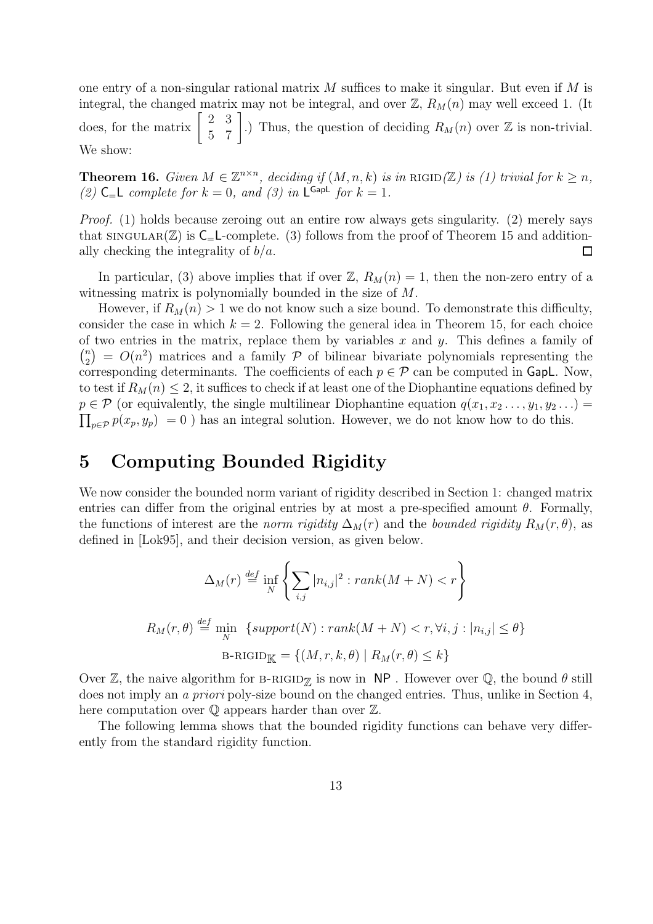one entry of a non-singular rational matrix  $M$  suffices to make it singular. But even if  $M$  is integral, the changed matrix may not be integral, and over  $\mathbb{Z}, R_M(n)$  may well exceed 1. (It does, for the matrix  $\begin{bmatrix} 2 & 3 \\ 5 & 7 \end{bmatrix}$ .) Thus, the question of deciding  $R_M(n)$  over  $\mathbb Z$  is non-trivial. We show:

**Theorem 16.** Given  $M \in \mathbb{Z}^{n \times n}$ , deciding if  $(M, n, k)$  is in RIGID( $\mathbb{Z}$ ) is (1) trivial for  $k \geq n$ , (2)  $C = L$  complete for  $k = 0$ , and (3) in  $L^{GapL}$  for  $k = 1$ .

Proof. (1) holds because zeroing out an entire row always gets singularity. (2) merely says that  $\text{SINGULAR}(\mathbb{Z})$  is  $\text{C}_{=}\text{L-complete.}$  (3) follows from the proof of Theorem 15 and additionally checking the integrality of  $b/a$ .  $\Box$ 

In particular, (3) above implies that if over  $\mathbb{Z}$ ,  $R_M(n) = 1$ , then the non-zero entry of a witnessing matrix is polynomially bounded in the size of M.

However, if  $R_M(n) > 1$  we do not know such a size bound. To demonstrate this difficulty, consider the case in which  $k = 2$ . Following the general idea in Theorem 15, for each choice of two entries in the matrix, replace them by variables x and y. This defines a family of  $\binom{n}{2}$  $\binom{n}{2}$  =  $O(n^2)$  matrices and a family  $P$  of bilinear bivariate polynomials representing the corresponding determinants. The coefficients of each  $p \in \mathcal{P}$  can be computed in GapL. Now, to test if  $R_M(n) \leq 2$ , it suffices to check if at least one of the Diophantine equations defined by  $\prod_{p\in\mathcal{P}} p(x_p, y_p) = 0$  ) has an integral solution. However, we do not know how to do this.  $p \in \mathcal{P}$  (or equivalently, the single multilinear Diophantine equation  $q(x_1, x_2, \ldots, y_1, y_2, \ldots)$ )

## 5 Computing Bounded Rigidity

We now consider the bounded norm variant of rigidity described in Section 1: changed matrix entries can differ from the original entries by at most a pre-specified amount  $\theta$ . Formally, the functions of interest are the norm rigidity  $\Delta_M(r)$  and the bounded rigidity  $R_M(r, \theta)$ , as defined in [Lok95], and their decision version, as given below.

$$
\Delta_M(r) \stackrel{\text{def}}{=} \inf_N \left\{ \sum_{i,j} |n_{i,j}|^2 : rank(M+N) < r \right\}
$$
  

$$
R_M(r, \theta) \stackrel{\text{def}}{=} \min_N \left\{ support(N) : rank(M+N) < r, \forall i, j : |n_{i,j}| \le \theta \right\}
$$
  

$$
B-RIGID_K = \left\{ (M, r, k, \theta) \mid R_M(r, \theta) \le k \right\}
$$

Over Z, the naive algorithm for B-RIGID<sub>7</sub> is now in NP. However over Q, the bound  $\theta$  still does not imply an *a priori* poly-size bound on the changed entries. Thus, unlike in Section 4, here computation over  $\mathbb Q$  appears harder than over  $\mathbb Z$ .

The following lemma shows that the bounded rigidity functions can behave very differently from the standard rigidity function.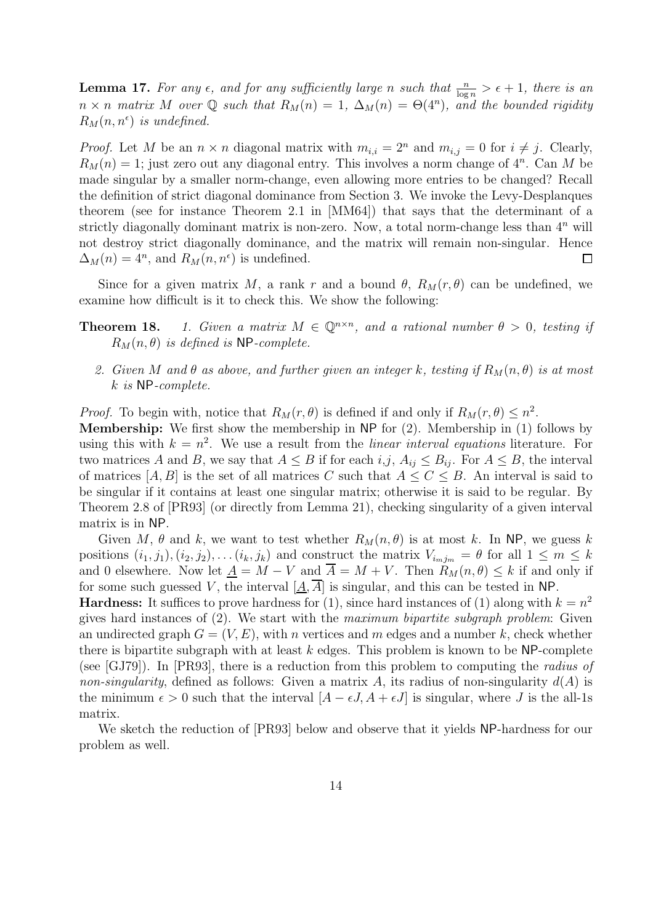**Lemma 17.** For any  $\epsilon$ , and for any sufficiently large n such that  $\frac{n}{\log n} > \epsilon + 1$ , there is an  $n \times n$  matrix M over Q such that  $R_M(n) = 1$ ,  $\Delta_M(n) = \Theta(4^n)$ , and the bounded rigidity  $R_M(n, n^{\epsilon})$  is undefined.

*Proof.* Let M be an  $n \times n$  diagonal matrix with  $m_{i,i} = 2^n$  and  $m_{i,j} = 0$  for  $i \neq j$ . Clearly,  $R_M(n) = 1$ ; just zero out any diagonal entry. This involves a norm change of  $4^n$ . Can M be made singular by a smaller norm-change, even allowing more entries to be changed? Recall the definition of strict diagonal dominance from Section 3. We invoke the Levy-Desplanques theorem (see for instance Theorem 2.1 in [MM64]) that says that the determinant of a strictly diagonally dominant matrix is non-zero. Now, a total norm-change less than  $4^n$  will not destroy strict diagonally dominance, and the matrix will remain non-singular. Hence  $\Delta_M(n) = 4^n$ , and  $R_M(n, n^{\epsilon})$  is undefined.  $\Box$ 

Since for a given matrix M, a rank r and a bound  $\theta$ ,  $R_M(r, \theta)$  can be undefined, we examine how difficult is it to check this. We show the following:

#### **Theorem 18.** 1. Given a matrix  $M \in \mathbb{Q}^{n \times n}$ , and a rational number  $\theta > 0$ , testing if  $R_M(n, \theta)$  is defined is NP-complete.

2. Given M and  $\theta$  as above, and further given an integer k, testing if  $R_M(n, \theta)$  is at most k is NP-complete.

*Proof.* To begin with, notice that  $R_M(r, \theta)$  is defined if and only if  $R_M(r, \theta) \leq n^2$ .

Membership: We first show the membership in NP for (2). Membership in (1) follows by using this with  $k = n^2$ . We use a result from the *linear interval equations* literature. For two matrices A and B, we say that  $A \leq B$  if for each  $i,j$ ,  $A_{ij} \leq B_{ij}$ . For  $A \leq B$ , the interval of matrices  $[A, B]$  is the set of all matrices C such that  $A \leq C \leq B$ . An interval is said to be singular if it contains at least one singular matrix; otherwise it is said to be regular. By Theorem 2.8 of [PR93] (or directly from Lemma 21), checking singularity of a given interval matrix is in NP.

Given M,  $\theta$  and k, we want to test whether  $R_M(n, \theta)$  is at most k. In NP, we guess k positions  $(i_1, j_1), (i_2, j_2), \ldots (i_k, j_k)$  and construct the matrix  $V_{i_m j_m} = \theta$  for all  $1 \leq m \leq k$ and 0 elsewhere. Now let  $\underline{A} = M - V$  and  $\overline{A} = M + V$ . Then  $R_M(n, \theta) \leq k$  if and only if for some such guessed V, the interval  $[A, \overline{A}]$  is singular, and this can be tested in NP.

**Hardness:** It suffices to prove hardness for (1), since hard instances of (1) along with  $k = n^2$ gives hard instances of  $(2)$ . We start with the maximum bipartite subgraph problem: Given an undirected graph  $G = (V, E)$ , with n vertices and m edges and a number k, check whether there is bipartite subgraph with at least  $k$  edges. This problem is known to be NP-complete (see [GJ79]). In [PR93], there is a reduction from this problem to computing the radius of non-singularity, defined as follows: Given a matrix A, its radius of non-singularity  $d(A)$  is the minimum  $\epsilon > 0$  such that the interval  $[A - \epsilon J, A + \epsilon J]$  is singular, where J is the all-1s matrix.

We sketch the reduction of [PR93] below and observe that it yields NP-hardness for our problem as well.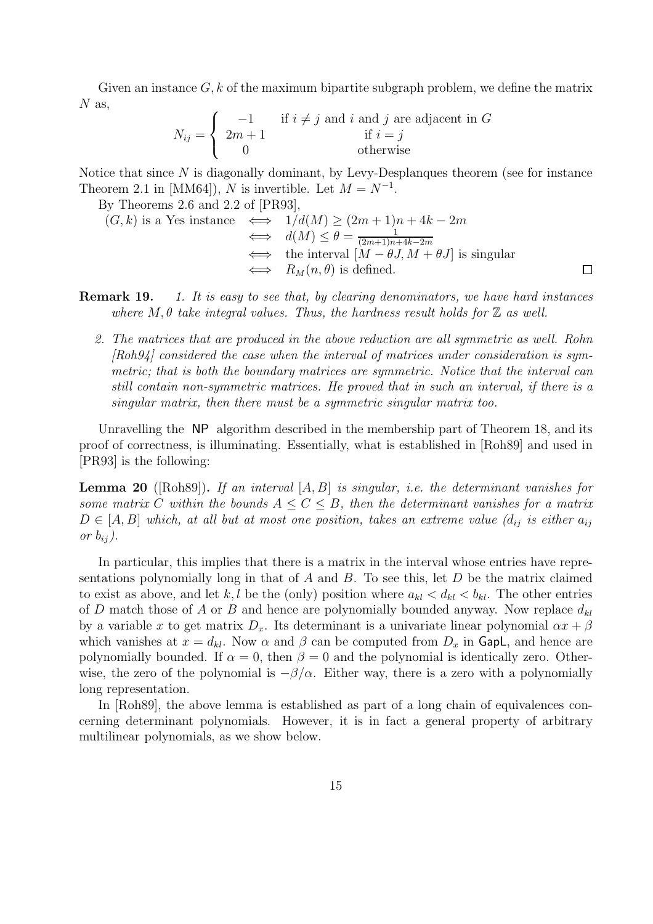Given an instance  $G, k$  of the maximum bipartite subgraph problem, we define the matrix  $N$  as,

$$
N_{ij} = \begin{cases} -1 & \text{if } i \neq j \text{ and } i \text{ and } j \text{ are adjacent in } G \\ 2m+1 & \text{if } i = j \\ 0 & \text{otherwise} \end{cases}
$$

Notice that since  $N$  is diagonally dominant, by Levy-Desplanques theorem (see for instance Theorem 2.1 in [MM64]), N is invertible. Let  $M = N^{-1}$ .

By Theorems 2.6 and 2.2 of [PR93],

$$
(G,k) \text{ is a Yes instance } \iff \frac{1}{d(M)} \ge (2m+1)n+4k-2m
$$
  
\n
$$
\iff d(M) \le \theta = \frac{1}{(2m+1)n+4k-2m}
$$
  
\n
$$
\iff \text{ the interval } [M-\theta J, M+\theta J] \text{ is singular}
$$
  
\n
$$
\iff R_M(n,\theta) \text{ is defined.}
$$

**Remark 19.** 1. It is easy to see that, by clearing denominators, we have hard instances where  $M, \theta$  take integral values. Thus, the hardness result holds for  $\mathbb Z$  as well.

2. The matrices that are produced in the above reduction are all symmetric as well. Rohn [Roh94] considered the case when the interval of matrices under consideration is symmetric; that is both the boundary matrices are symmetric. Notice that the interval can still contain non-symmetric matrices. He proved that in such an interval, if there is a singular matrix, then there must be a symmetric singular matrix too.

Unravelling the NP algorithm described in the membership part of Theorem 18, and its proof of correctness, is illuminating. Essentially, what is established in [Roh89] and used in [PR93] is the following:

**Lemma 20** ([Roh89]). If an interval  $[A, B]$  is singular, i.e. the determinant vanishes for some matrix C within the bounds  $A \leq C \leq B$ , then the determinant vanishes for a matrix  $D \in [A, B]$  which, at all but at most one position, takes an extreme value  $(d_{ij}$  is either  $a_{ij}$ or  $b_{ij}$ ).

In particular, this implies that there is a matrix in the interval whose entries have representations polynomially long in that of  $A$  and  $B$ . To see this, let  $D$  be the matrix claimed to exist as above, and let k, l be the (only) position where  $a_{kl} < d_{kl} < b_{kl}$ . The other entries of D match those of A or B and hence are polynomially bounded anyway. Now replace  $d_{kl}$ by a variable x to get matrix  $D_x$ . Its determinant is a univariate linear polynomial  $\alpha x + \beta$ which vanishes at  $x = d_{kl}$ . Now  $\alpha$  and  $\beta$  can be computed from  $D_x$  in GapL, and hence are polynomially bounded. If  $\alpha = 0$ , then  $\beta = 0$  and the polynomial is identically zero. Otherwise, the zero of the polynomial is  $-\beta/\alpha$ . Either way, there is a zero with a polynomially long representation.

In [Roh89], the above lemma is established as part of a long chain of equivalences concerning determinant polynomials. However, it is in fact a general property of arbitrary multilinear polynomials, as we show below.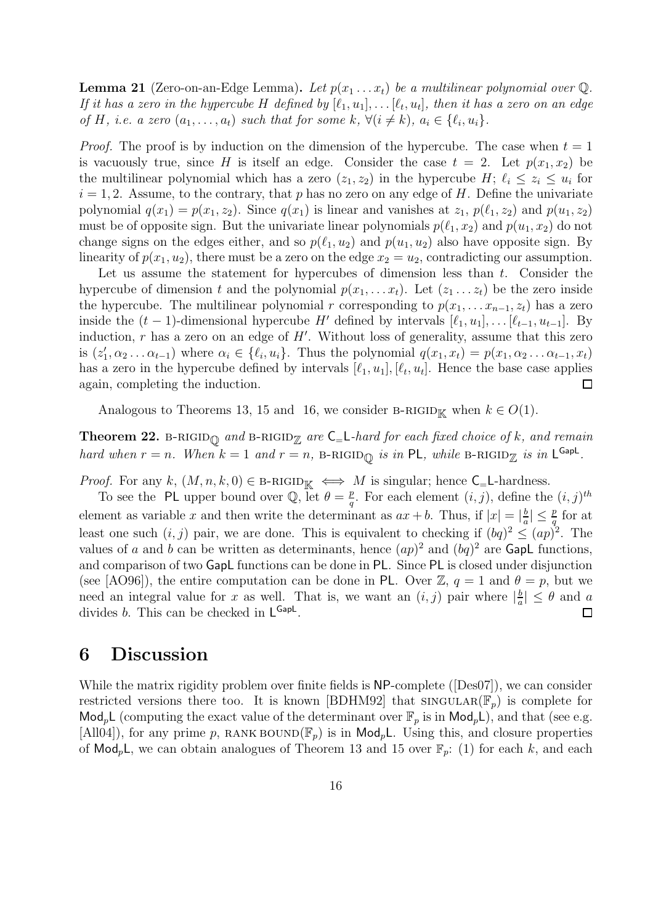**Lemma 21** (Zero-on-an-Edge Lemma). Let  $p(x_1 \ldots x_t)$  be a multilinear polynomial over Q. If it has a zero in the hypercube H defined by  $[\ell_1, u_1], \ldots [\ell_t, u_t]$ , then it has a zero on an edge of H, i.e. a zero  $(a_1, \ldots, a_t)$  such that for some k,  $\forall (i \neq k), a_i \in \{\ell_i, u_i\}.$ 

*Proof.* The proof is by induction on the dimension of the hypercube. The case when  $t = 1$ is vacuously true, since H is itself an edge. Consider the case  $t = 2$ . Let  $p(x_1, x_2)$  be the multilinear polynomial which has a zero  $(z_1, z_2)$  in the hypercube  $H; \ell_i \leq z_i \leq u_i$  for  $i = 1, 2$ . Assume, to the contrary, that p has no zero on any edge of H. Define the univariate polynomial  $q(x_1) = p(x_1, z_2)$ . Since  $q(x_1)$  is linear and vanishes at  $z_1$ ,  $p(\ell_1, z_2)$  and  $p(u_1, z_2)$ must be of opposite sign. But the univariate linear polynomials  $p(\ell_1, x_2)$  and  $p(u_1, x_2)$  do not change signs on the edges either, and so  $p(\ell_1, u_2)$  and  $p(u_1, u_2)$  also have opposite sign. By linearity of  $p(x_1, u_2)$ , there must be a zero on the edge  $x_2 = u_2$ , contradicting our assumption.

Let us assume the statement for hypercubes of dimension less than t. Consider the hypercube of dimension t and the polynomial  $p(x_1, \ldots, x_t)$ . Let  $(z_1 \ldots z_t)$  be the zero inside the hypercube. The multilinear polynomial r corresponding to  $p(x_1, \ldots, x_{n-1}, z_t)$  has a zero inside the  $(t - 1)$ -dimensional hypercube H' defined by intervals  $[\ell_1, u_1], \ldots [\ell_{t-1}, u_{t-1}]$ . By induction,  $r$  has a zero on an edge of  $H'$ . Without loss of generality, assume that this zero is  $(z'_1, \alpha_2 \dots \alpha_{t-1})$  where  $\alpha_i \in \{\ell_i, u_i\}$ . Thus the polynomial  $q(x_1, x_t) = p(x_1, \alpha_2 \dots \alpha_{t-1}, x_t)$ has a zero in the hypercube defined by intervals  $[\ell_1, u_1], [\ell_t, u_t]$ . Hence the base case applies again, completing the induction.  $\Box$ 

Analogous to Theorems 13, 15 and 16, we consider B-RIGID<sub>K</sub> when  $k \in O(1)$ .

**Theorem 22.** B-RIGID<sub> $\textcircled{p}$  and B-RIGID<sub> $\textcircled{z}$ </sub> are  $\textsf{C}_{=}\textsf{L}$ -hard for each fixed choice of k, and remain</sub> hard when  $r = n$ . When  $k = 1$  and  $r = n$ , B-RIGID<sub>Q</sub> is in PL, while B-RIGID<sub>Z</sub> is in L<sup>GapL</sup>.

*Proof.* For any k,  $(M, n, k, 0) \in B-RIGID_{\mathbb{K}} \iff M$  is singular; hence  $C_{=}L$ -hardness.

To see the PL upper bound over Q, let  $\theta = \frac{p}{q}$  $\frac{p}{q}$ . For each element  $(i, j)$ , define the  $(i, j)$ <sup>th</sup> element as variable x and then write the determinant as  $ax + b$ . Thus, if  $|x| = \frac{b}{a}$  $\frac{b}{a}$ |  $\leq \frac{p}{q}$  for at least one such  $(i, j)$  pair, we are done. This is equivalent to checking if  $(bq)^2 \leq (ap)^2$ . The values of a and b can be written as determinants, hence  $(ap)^2$  and  $(bq)^2$  are GapL functions, and comparison of two GapL functions can be done in PL. Since PL is closed under disjunction (see [AO96]), the entire computation can be done in PL. Over  $\mathbb{Z}, q = 1$  and  $\theta = p$ , but we need an integral value for x as well. That is, we want an  $(i, j)$  pair where  $\frac{b}{a}$  $\left| \frac{b}{a} \right| \leq \theta$  and a divides *b*. This can be checked in  $L^{GapL}$ .  $\Box$ 

#### 6 Discussion

While the matrix rigidity problem over finite fields is NP-complete ([Des07]), we can consider restricted versions there too. It is known [BDHM92] that  $\text{SINGULAR}(\mathbb{F}_p)$  is complete for Mod<sub>p</sub>L (computing the exact value of the determinant over  $\mathbb{F}_p$  is in Mod<sub>p</sub>L), and that (see e.g. [All04]), for any prime p, RANK BOUND( $\mathbb{F}_p$ ) is in Mod<sub>p</sub>L. Using this, and closure properties of  $\text{Mod}_p$ L, we can obtain analogues of Theorem 13 and 15 over  $\mathbb{F}_p$ : (1) for each k, and each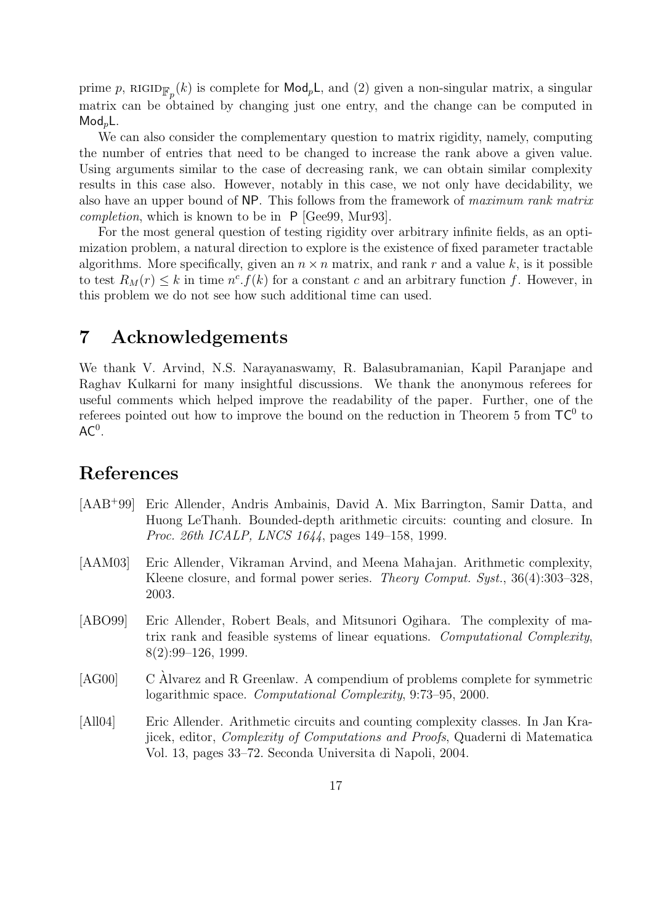prime p, RIGID $_{\mathbb{F}_p}(k)$  is complete for  $\mathsf{Mod}_p\mathsf{L}$ , and (2) given a non-singular matrix, a singular matrix can be obtained by changing just one entry, and the change can be computed in  $Mod_nL$ .

We can also consider the complementary question to matrix rigidity, namely, computing the number of entries that need to be changed to increase the rank above a given value. Using arguments similar to the case of decreasing rank, we can obtain similar complexity results in this case also. However, notably in this case, we not only have decidability, we also have an upper bound of NP. This follows from the framework of maximum rank matrix completion, which is known to be in P [Gee99, Mur93].

For the most general question of testing rigidity over arbitrary infinite fields, as an optimization problem, a natural direction to explore is the existence of fixed parameter tractable algorithms. More specifically, given an  $n \times n$  matrix, and rank r and a value k, is it possible to test  $R_M(r) \leq k$  in time  $n^c \cdot f(k)$  for a constant c and an arbitrary function f. However, in this problem we do not see how such additional time can used.

### 7 Acknowledgements

We thank V. Arvind, N.S. Narayanaswamy, R. Balasubramanian, Kapil Paranjape and Raghav Kulkarni for many insightful discussions. We thank the anonymous referees for useful comments which helped improve the readability of the paper. Further, one of the referees pointed out how to improve the bound on the reduction in Theorem 5 from  $TC^0$  to  $AC<sup>0</sup>$ .

#### References

- [AAB<sup>+</sup>99] Eric Allender, Andris Ambainis, David A. Mix Barrington, Samir Datta, and Huong LeThanh. Bounded-depth arithmetic circuits: counting and closure. In Proc. 26th ICALP, LNCS 1644, pages 149–158, 1999.
- [AAM03] Eric Allender, Vikraman Arvind, and Meena Mahajan. Arithmetic complexity, Kleene closure, and formal power series. *Theory Comput. Syst.*, 36(4):303–328, 2003.
- [ABO99] Eric Allender, Robert Beals, and Mitsunori Ogihara. The complexity of matrix rank and feasible systems of linear equations. Computational Complexity, 8(2):99–126, 1999.
- $[AG00]$  C Alvarez and R Greenlaw. A compendium of problems complete for symmetric logarithmic space. Computational Complexity, 9:73–95, 2000.
- [All04] Eric Allender. Arithmetic circuits and counting complexity classes. In Jan Krajicek, editor, Complexity of Computations and Proofs, Quaderni di Matematica Vol. 13, pages 33–72. Seconda Universita di Napoli, 2004.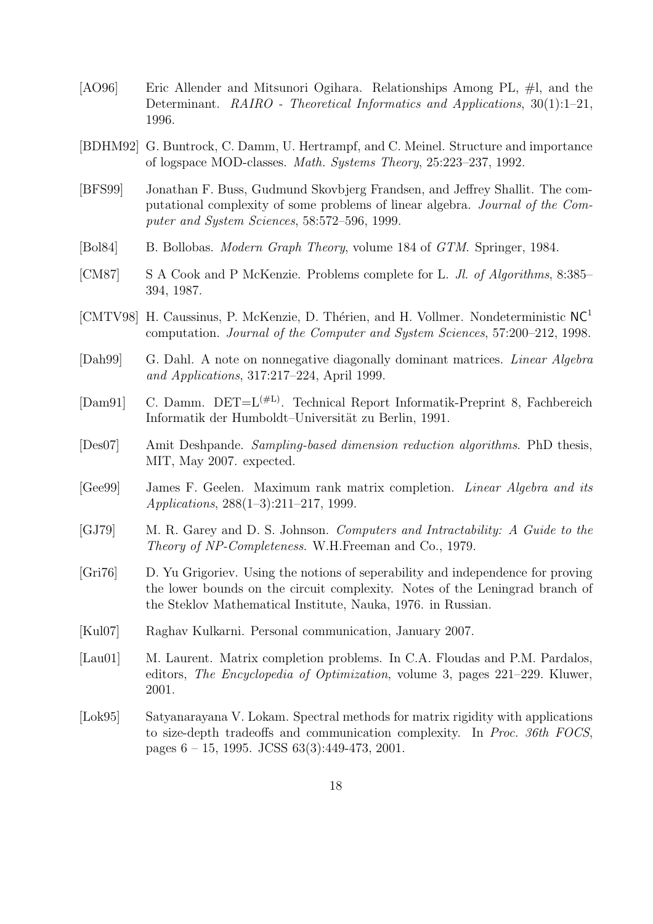- [AO96] Eric Allender and Mitsunori Ogihara. Relationships Among PL, #l, and the Determinant. RAIRO - Theoretical Informatics and Applications, 30(1):1–21, 1996.
- [BDHM92] G. Buntrock, C. Damm, U. Hertrampf, and C. Meinel. Structure and importance of logspace MOD-classes. Math. Systems Theory, 25:223–237, 1992.
- [BFS99] Jonathan F. Buss, Gudmund Skovbjerg Frandsen, and Jeffrey Shallit. The computational complexity of some problems of linear algebra. Journal of the Computer and System Sciences, 58:572–596, 1999.
- [Bol84] B. Bollobas. *Modern Graph Theory*, volume 184 of *GTM*. Springer, 1984.
- [CM87] S A Cook and P McKenzie. Problems complete for L. Jl. of Algorithms, 8:385– 394, 1987.
- [CMTV98] H. Caussinus, P. McKenzie, D. Thérien, and H. Vollmer. Nondeterministic  $NC<sup>1</sup>$ computation. Journal of the Computer and System Sciences, 57:200–212, 1998.
- [Dah99] G. Dahl. A note on nonnegative diagonally dominant matrices. Linear Algebra and Applications, 317:217–224, April 1999.
- [Dam91] C. Damm.  $DEF = L^{(\#L)}$ . Technical Report Informatik-Preprint 8, Fachbereich Informatik der Humboldt–Universität zu Berlin, 1991.
- [Des07] Amit Deshpande. Sampling-based dimension reduction algorithms. PhD thesis, MIT, May 2007. expected.
- [Gee99] James F. Geelen. Maximum rank matrix completion. Linear Algebra and its Applications, 288(1–3):211–217, 1999.
- [GJ79] M. R. Garey and D. S. Johnson. Computers and Intractability: A Guide to the Theory of NP-Completeness. W.H.Freeman and Co., 1979.
- [Gri76] D. Yu Grigoriev. Using the notions of seperability and independence for proving the lower bounds on the circuit complexity. Notes of the Leningrad branch of the Steklov Mathematical Institute, Nauka, 1976. in Russian.
- [Kul07] Raghav Kulkarni. Personal communication, January 2007.
- [Lau01] M. Laurent. Matrix completion problems. In C.A. Floudas and P.M. Pardalos, editors, The Encyclopedia of Optimization, volume 3, pages 221–229. Kluwer, 2001.
- [Lok95] Satyanarayana V. Lokam. Spectral methods for matrix rigidity with applications to size-depth tradeoffs and communication complexity. In Proc. 36th FOCS, pages 6 – 15, 1995. JCSS 63(3):449-473, 2001.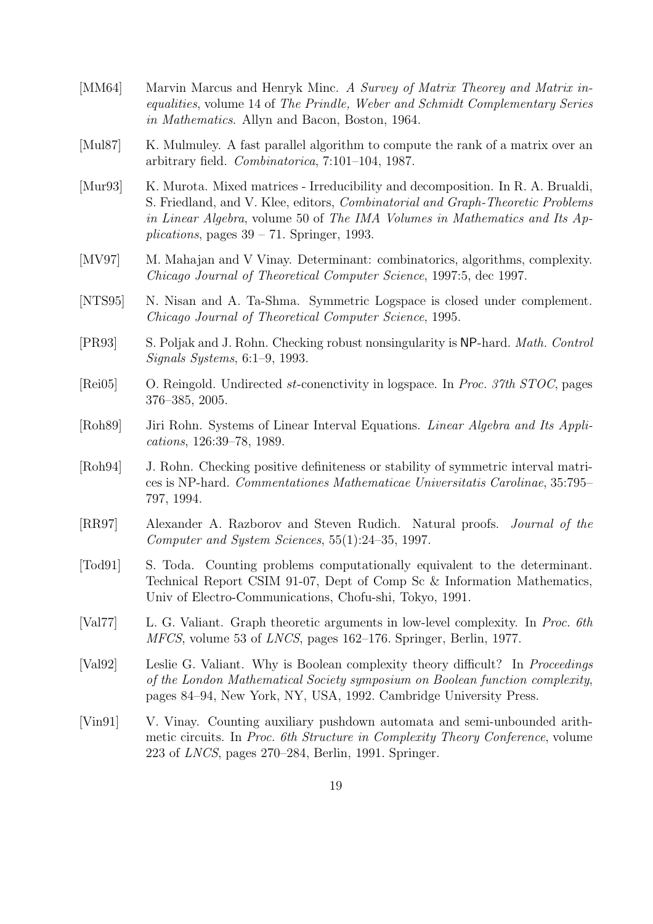- [MM64] Marvin Marcus and Henryk Minc. A Survey of Matrix Theorey and Matrix inequalities, volume 14 of The Prindle, Weber and Schmidt Complementary Series in Mathematics. Allyn and Bacon, Boston, 1964.
- [Mul87] K. Mulmuley. A fast parallel algorithm to compute the rank of a matrix over an arbitrary field. Combinatorica, 7:101–104, 1987.
- [Mur93] K. Murota. Mixed matrices Irreducibility and decomposition. In R. A. Brualdi, S. Friedland, and V. Klee, editors, Combinatorial and Graph-Theoretic Problems in Linear Algebra, volume 50 of The IMA Volumes in Mathematics and Its Applications, pages  $39 - 71$ . Springer, 1993.
- [MV97] M. Mahajan and V Vinay. Determinant: combinatorics, algorithms, complexity. Chicago Journal of Theoretical Computer Science, 1997:5, dec 1997.
- [NTS95] N. Nisan and A. Ta-Shma. Symmetric Logspace is closed under complement. Chicago Journal of Theoretical Computer Science, 1995.
- [PR93] S. Poljak and J. Rohn. Checking robust nonsingularity is NP-hard. Math. Control Signals Systems, 6:1–9, 1993.
- [Rei05] O. Reingold. Undirected st-conenctivity in logspace. In Proc. 37th STOC, pages 376–385, 2005.
- [Roh89] Jiri Rohn. Systems of Linear Interval Equations. Linear Algebra and Its Applications, 126:39–78, 1989.
- [Roh94] J. Rohn. Checking positive definiteness or stability of symmetric interval matrices is NP-hard. Commentationes Mathematicae Universitatis Carolinae, 35:795– 797, 1994.
- [RR97] Alexander A. Razborov and Steven Rudich. Natural proofs. Journal of the Computer and System Sciences, 55(1):24–35, 1997.
- [Tod91] S. Toda. Counting problems computationally equivalent to the determinant. Technical Report CSIM 91-07, Dept of Comp Sc & Information Mathematics, Univ of Electro-Communications, Chofu-shi, Tokyo, 1991.
- [Val77] L. G. Valiant. Graph theoretic arguments in low-level complexity. In Proc. 6th MFCS, volume 53 of LNCS, pages 162–176. Springer, Berlin, 1977.
- [Val92] Leslie G. Valiant. Why is Boolean complexity theory difficult? In *Proceedings* of the London Mathematical Society symposium on Boolean function complexity, pages 84–94, New York, NY, USA, 1992. Cambridge University Press.
- [Vin91] V. Vinay. Counting auxiliary pushdown automata and semi-unbounded arithmetic circuits. In Proc. 6th Structure in Complexity Theory Conference, volume 223 of LNCS, pages 270–284, Berlin, 1991. Springer.